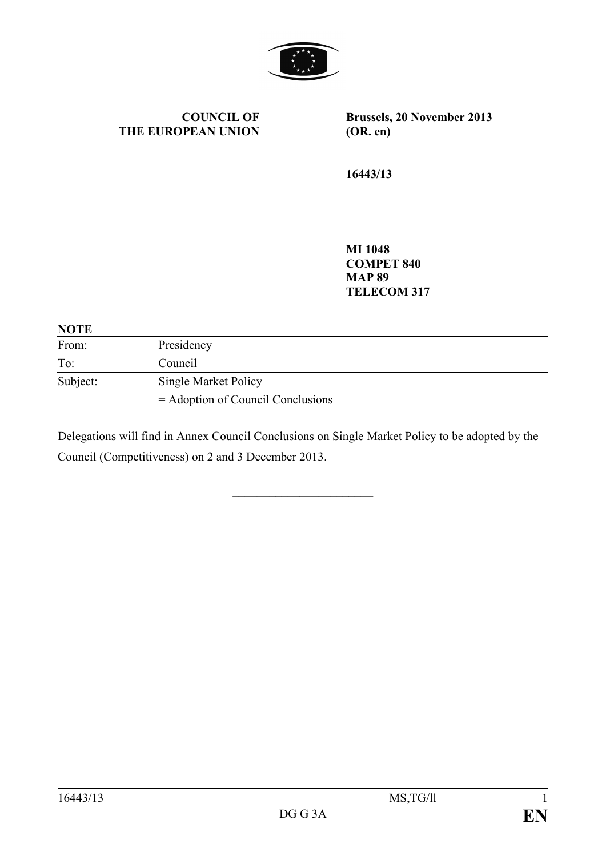

**COUNCIL OF THE EUROPEAN UNION** **Brussels, 20 November 2013 (OR. en)**

**16443/13**

**MI 1048 COMPET 840 MAP 89 TELECOM 317**

| <b>NOTE</b> |                                     |
|-------------|-------------------------------------|
| From:       | Presidency                          |
| To:         | Council                             |
| Subject:    | Single Market Policy                |
|             | $=$ Adoption of Council Conclusions |

Delegations will find in Annex Council Conclusions on Single Market Policy to be adopted by the Council (Competitiveness) on 2 and 3 December 2013.

 $\overline{\phantom{a}}$  , which is a set of the set of the set of the set of the set of the set of the set of the set of the set of the set of the set of the set of the set of the set of the set of the set of the set of the set of th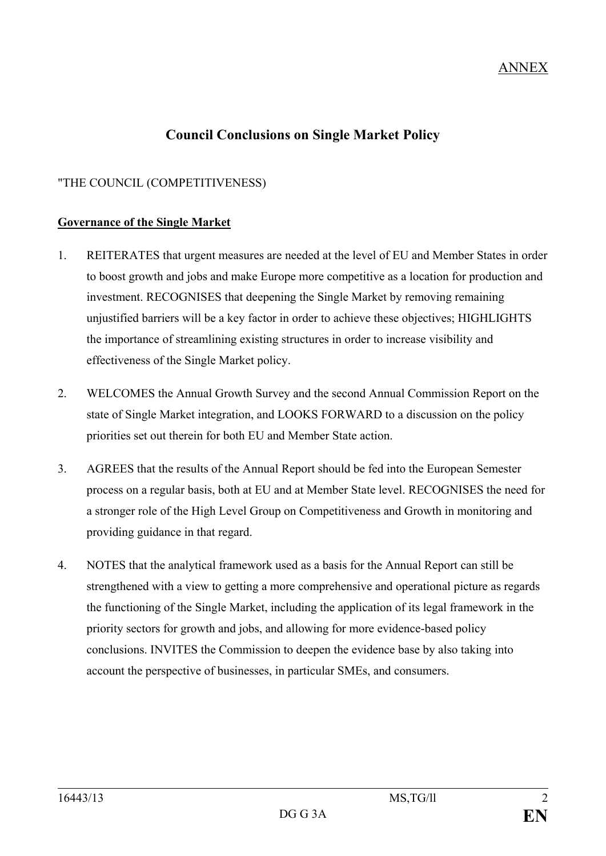# **Council Conclusions on Single Market Policy**

## "THE COUNCIL (COMPETITIVENESS)

#### **Governance of the Single Market**

- 1. REITERATES that urgent measures are needed at the level of EU and Member States in order to boost growth and jobs and make Europe more competitive as a location for production and investment. RECOGNISES that deepening the Single Market by removing remaining unjustified barriers will be a key factor in order to achieve these objectives; HIGHLIGHTS the importance of streamlining existing structures in order to increase visibility and effectiveness of the Single Market policy.
- 2. WELCOMES the Annual Growth Survey and the second Annual Commission Report on the state of Single Market integration, and LOOKS FORWARD to a discussion on the policy priorities set out therein for both EU and Member State action.
- 3. AGREES that the results of the Annual Report should be fed into the European Semester process on a regular basis, both at EU and at Member State level. RECOGNISES the need for a stronger role of the High Level Group on Competitiveness and Growth in monitoring and providing guidance in that regard.
- 4. NOTES that the analytical framework used as a basis for the Annual Report can still be strengthened with a view to getting a more comprehensive and operational picture as regards the functioning of the Single Market, including the application of its legal framework in the priority sectors for growth and jobs, and allowing for more evidence-based policy conclusions. INVITES the Commission to deepen the evidence base by also taking into account the perspective of businesses, in particular SMEs, and consumers.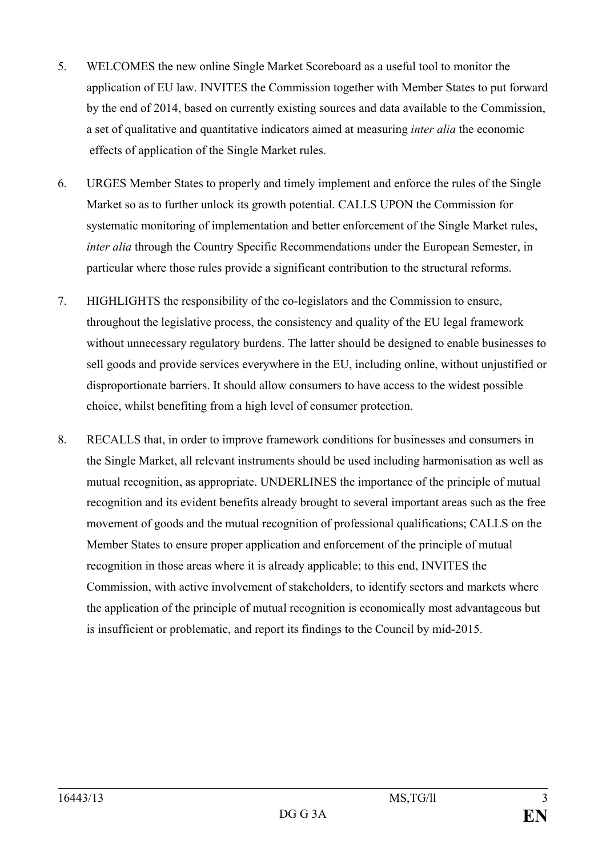- 5. WELCOMES the new online Single Market Scoreboard as a useful tool to monitor the application of EU law. INVITES the Commission together with Member States to put forward by the end of 2014, based on currently existing sources and data available to the Commission, a set of qualitative and quantitative indicators aimed at measuring *inter alia* the economic effects of application of the Single Market rules.
- 6. URGES Member States to properly and timely implement and enforce the rules of the Single Market so as to further unlock its growth potential. CALLS UPON the Commission for systematic monitoring of implementation and better enforcement of the Single Market rules, *inter alia* through the Country Specific Recommendations under the European Semester, in particular where those rules provide a significant contribution to the structural reforms.
- 7. HIGHLIGHTS the responsibility of the co-legislators and the Commission to ensure, throughout the legislative process, the consistency and quality of the EU legal framework without unnecessary regulatory burdens. The latter should be designed to enable businesses to sell goods and provide services everywhere in the EU, including online, without unjustified or disproportionate barriers. It should allow consumers to have access to the widest possible choice, whilst benefiting from a high level of consumer protection.
- 8. RECALLS that, in order to improve framework conditions for businesses and consumers in the Single Market, all relevant instruments should be used including harmonisation as well as mutual recognition, as appropriate. UNDERLINES the importance of the principle of mutual recognition and its evident benefits already brought to several important areas such as the free movement of goods and the mutual recognition of professional qualifications; CALLS on the Member States to ensure proper application and enforcement of the principle of mutual recognition in those areas where it is already applicable; to this end, INVITES the Commission, with active involvement of stakeholders, to identify sectors and markets where the application of the principle of mutual recognition is economically most advantageous but is insufficient or problematic, and report its findings to the Council by mid-2015.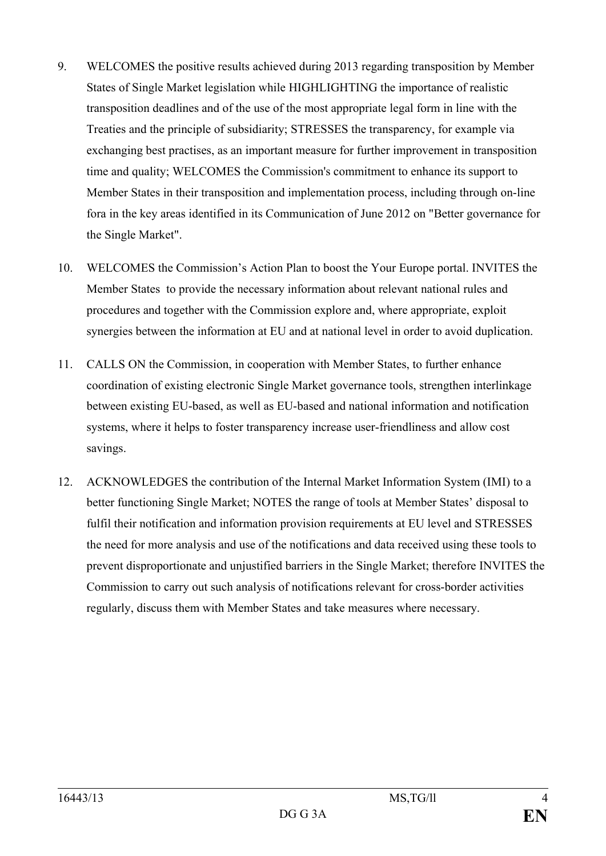- 9. WELCOMES the positive results achieved during 2013 regarding transposition by Member States of Single Market legislation while HIGHLIGHTING the importance of realistic transposition deadlines and of the use of the most appropriate legal form in line with the Treaties and the principle of subsidiarity; STRESSES the transparency, for example via exchanging best practises, as an important measure for further improvement in transposition time and quality; WELCOMES the Commission's commitment to enhance its support to Member States in their transposition and implementation process, including through on-line fora in the key areas identified in its Communication of June 2012 on "Better governance for the Single Market".
- 10. WELCOMES the Commission's Action Plan to boost the Your Europe portal. INVITES the Member States to provide the necessary information about relevant national rules and procedures and together with the Commission explore and, where appropriate, exploit synergies between the information at EU and at national level in order to avoid duplication.
- 11. CALLS ON the Commission, in cooperation with Member States, to further enhance coordination of existing electronic Single Market governance tools, strengthen interlinkage between existing EU-based, as well as EU-based and national information and notification systems, where it helps to foster transparency increase user-friendliness and allow cost savings.
- 12. ACKNOWLEDGES the contribution of the Internal Market Information System (IMI) to a better functioning Single Market; NOTES the range of tools at Member States' disposal to fulfil their notification and information provision requirements at EU level and STRESSES the need for more analysis and use of the notifications and data received using these tools to prevent disproportionate and unjustified barriers in the Single Market; therefore INVITES the Commission to carry out such analysis of notifications relevant for cross-border activities regularly, discuss them with Member States and take measures where necessary.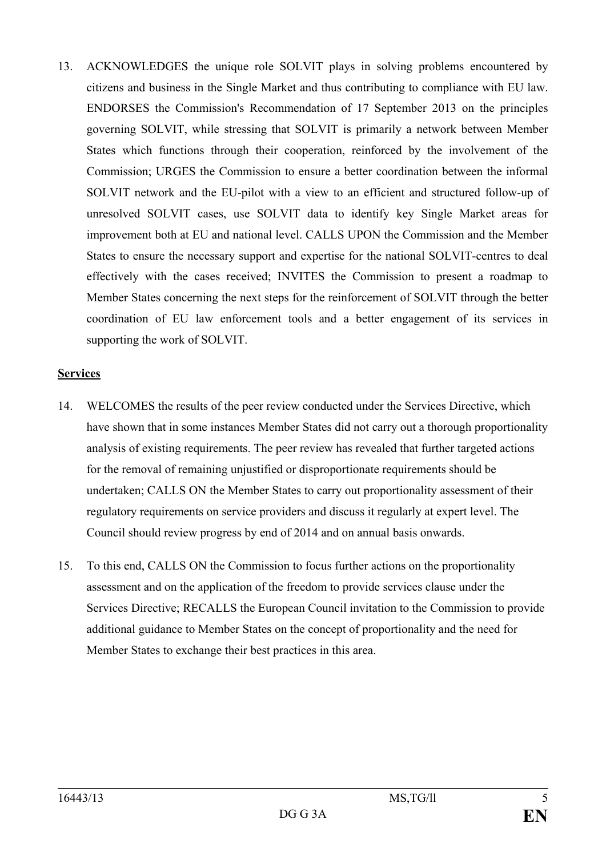13. ACKNOWLEDGES the unique role SOLVIT plays in solving problems encountered by citizens and business in the Single Market and thus contributing to compliance with EU law. ENDORSES the Commission's Recommendation of 17 September 2013 on the principles governing SOLVIT, while stressing that SOLVIT is primarily a network between Member States which functions through their cooperation, reinforced by the involvement of the Commission; URGES the Commission to ensure a better coordination between the informal SOLVIT network and the EU-pilot with a view to an efficient and structured follow-up of unresolved SOLVIT cases, use SOLVIT data to identify key Single Market areas for improvement both at EU and national level. CALLS UPON the Commission and the Member States to ensure the necessary support and expertise for the national SOLVIT-centres to deal effectively with the cases received; INVITES the Commission to present a roadmap to Member States concerning the next steps for the reinforcement of SOLVIT through the better coordination of EU law enforcement tools and a better engagement of its services in supporting the work of SOLVIT.

#### **Services**

- 14. WELCOMES the results of the peer review conducted under the Services Directive, which have shown that in some instances Member States did not carry out a thorough proportionality analysis of existing requirements. The peer review has revealed that further targeted actions for the removal of remaining unjustified or disproportionate requirements should be undertaken; CALLS ON the Member States to carry out proportionality assessment of their regulatory requirements on service providers and discuss it regularly at expert level. The Council should review progress by end of 2014 and on annual basis onwards.
- 15. To this end, CALLS ON the Commission to focus further actions on the proportionality assessment and on the application of the freedom to provide services clause under the Services Directive; RECALLS the European Council invitation to the Commission to provide additional guidance to Member States on the concept of proportionality and the need for Member States to exchange their best practices in this area.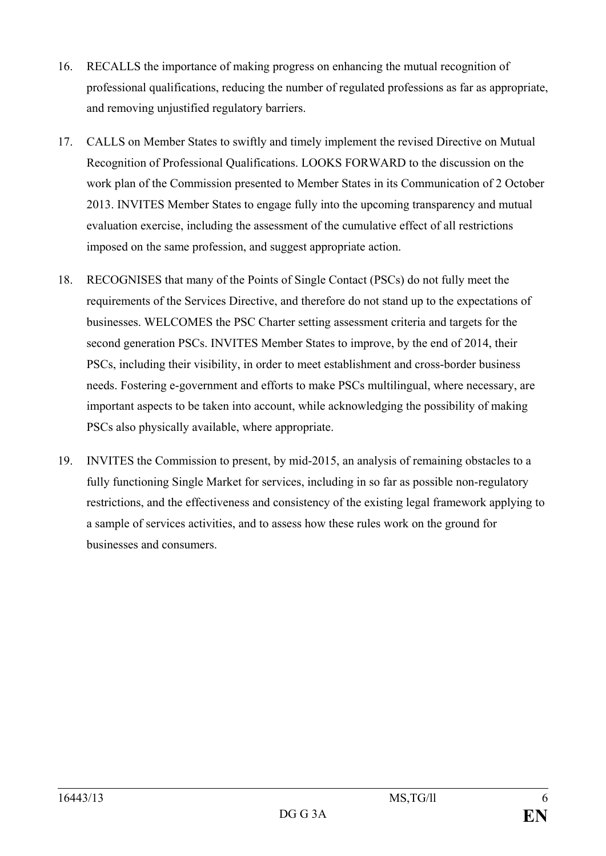- 16. RECALLS the importance of making progress on enhancing the mutual recognition of professional qualifications, reducing the number of regulated professions as far as appropriate, and removing unjustified regulatory barriers.
- 17. CALLS on Member States to swiftly and timely implement the revised Directive on Mutual Recognition of Professional Qualifications. LOOKS FORWARD to the discussion on the work plan of the Commission presented to Member States in its Communication of 2 October 2013. INVITES Member States to engage fully into the upcoming transparency and mutual evaluation exercise, including the assessment of the cumulative effect of all restrictions imposed on the same profession, and suggest appropriate action.
- 18. RECOGNISES that many of the Points of Single Contact (PSCs) do not fully meet the requirements of the Services Directive, and therefore do not stand up to the expectations of businesses. WELCOMES the PSC Charter setting assessment criteria and targets for the second generation PSCs. INVITES Member States to improve, by the end of 2014, their PSCs, including their visibility, in order to meet establishment and cross-border business needs. Fostering e-government and efforts to make PSCs multilingual, where necessary, are important aspects to be taken into account, while acknowledging the possibility of making PSCs also physically available, where appropriate.
- 19. INVITES the Commission to present, by mid-2015, an analysis of remaining obstacles to a fully functioning Single Market for services, including in so far as possible non-regulatory restrictions, and the effectiveness and consistency of the existing legal framework applying to a sample of services activities, and to assess how these rules work on the ground for businesses and consumers.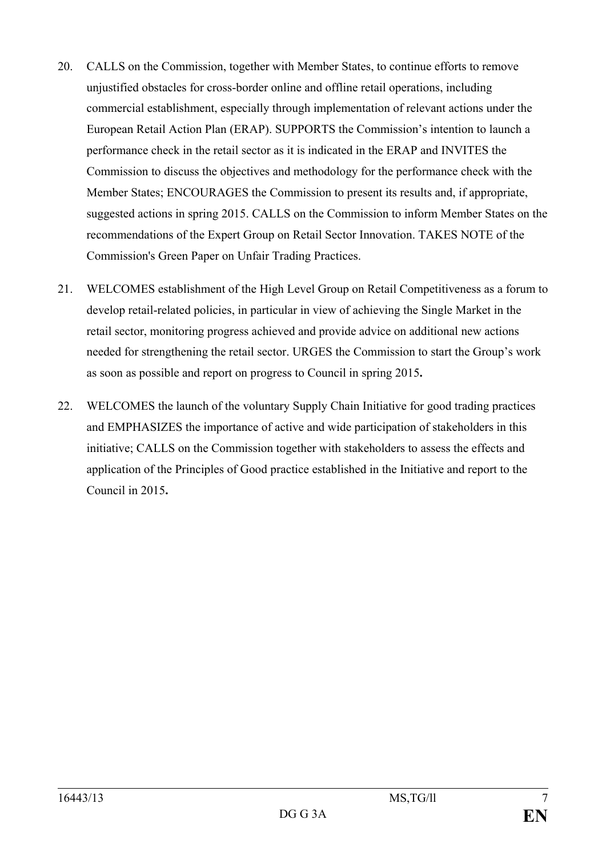- 20. CALLS on the Commission, together with Member States, to continue efforts to remove unjustified obstacles for cross-border online and offline retail operations, including commercial establishment, especially through implementation of relevant actions under the European Retail Action Plan (ERAP). SUPPORTS the Commission's intention to launch a performance check in the retail sector as it is indicated in the ERAP and INVITES the Commission to discuss the objectives and methodology for the performance check with the Member States; ENCOURAGES the Commission to present its results and, if appropriate, suggested actions in spring 2015. CALLS on the Commission to inform Member States on the recommendations of the Expert Group on Retail Sector Innovation. TAKES NOTE of the Commission's Green Paper on Unfair Trading Practices.
- 21. WELCOMES establishment of the High Level Group on Retail Competitiveness as a forum to develop retail-related policies, in particular in view of achieving the Single Market in the retail sector, monitoring progress achieved and provide advice on additional new actions needed for strengthening the retail sector. URGES the Commission to start the Group's work as soon as possible and report on progress to Council in spring 2015**.**
- 22. WELCOMES the launch of the voluntary Supply Chain Initiative for good trading practices and EMPHASIZES the importance of active and wide participation of stakeholders in this initiative; CALLS on the Commission together with stakeholders to assess the effects and application of the Principles of Good practice established in the Initiative and report to the Council in 2015**.**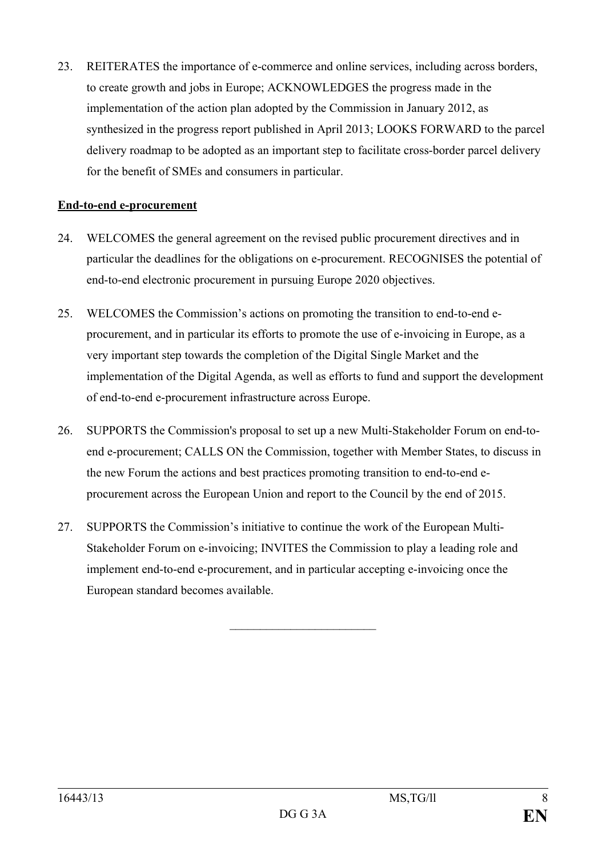23. REITERATES the importance of e-commerce and online services, including across borders, to create growth and jobs in Europe; ACKNOWLEDGES the progress made in the implementation of the action plan adopted by the Commission in January 2012, as synthesized in the progress report published in April 2013; LOOKS FORWARD to the parcel delivery roadmap to be adopted as an important step to facilitate cross-border parcel delivery for the benefit of SMEs and consumers in particular.

### **End-to-end e-procurement**

- 24. WELCOMES the general agreement on the revised public procurement directives and in particular the deadlines for the obligations on e-procurement. RECOGNISES the potential of end-to-end electronic procurement in pursuing Europe 2020 objectives.
- 25. WELCOMES the Commission's actions on promoting the transition to end-to-end eprocurement, and in particular its efforts to promote the use of e-invoicing in Europe, as a very important step towards the completion of the Digital Single Market and the implementation of the Digital Agenda, as well as efforts to fund and support the development of end-to-end e-procurement infrastructure across Europe.
- 26. SUPPORTS the Commission's proposal to set up a new Multi-Stakeholder Forum on end-toend e-procurement; CALLS ON the Commission, together with Member States, to discuss in the new Forum the actions and best practices promoting transition to end-to-end eprocurement across the European Union and report to the Council by the end of 2015.
- 27. SUPPORTS the Commission's initiative to continue the work of the European Multi-Stakeholder Forum on e-invoicing; INVITES the Commission to play a leading role and implement end-to-end e-procurement, and in particular accepting e-invoicing once the European standard becomes available.

 $\overline{\phantom{a}}$  , which is a set of the set of the set of the set of the set of the set of the set of the set of the set of the set of the set of the set of the set of the set of the set of the set of the set of the set of th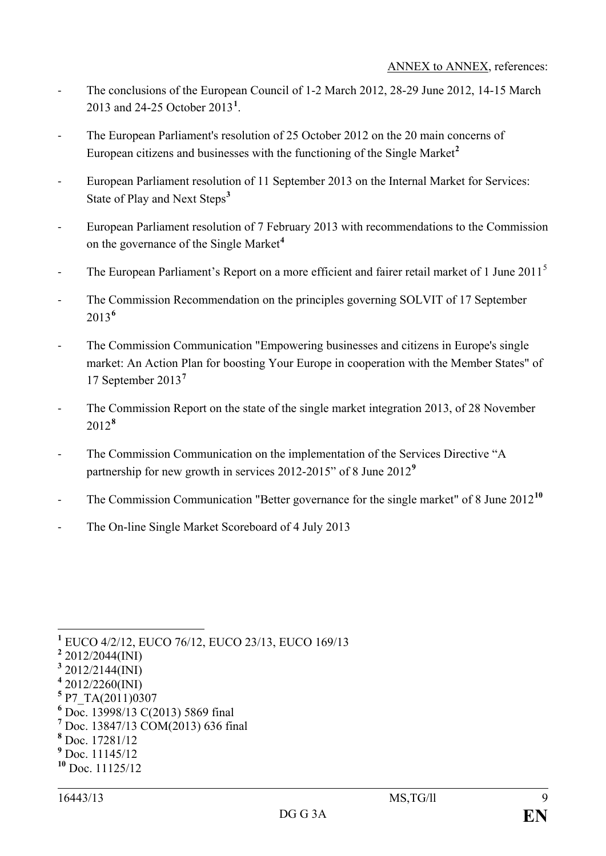- The conclusions of the European Council of 1-2 March 2012, 28-29 June 2012, 14-15 March 2013 and 24-25 October 2013**[1](#page-8-0)** .
- The European Parliament's resolution of 25 October 2012 on the 20 main concerns of European citizens and businesses with the functioning of the Single Market**[2](#page-8-1)**
- European Parliament resolution of 11 September 2013 on the Internal Market for Services: State of Play and Next Steps**[3](#page-8-2)**
- European Parliament resolution of 7 February 2013 with recommendations to the Commission on the governance of the Single Market**[4](#page-8-3)**
- The European Parliament's Report on a more efficient and fairer retail market of 1 June 2011<sup>[5](#page-8-4)</sup>
- The Commission Recommendation on the principles governing SOLVIT of 17 September 2013**[6](#page-8-5)**
- The Commission Communication "Empowering businesses and citizens in Europe's single market: An Action Plan for boosting Your Europe in cooperation with the Member States" of 17 September 2013**[7](#page-8-6)**
- The Commission Report on the state of the single market integration 2013, of 28 November 2012**[8](#page-8-7)**
- The Commission Communication on the implementation of the Services Directive "A partnership for new growth in services 2012-2015" of 8 June 2012**[9](#page-8-8)**
- The Commission Communication "Better governance for the single market" of 8 June 2012**[10](#page-8-9)**
- The On-line Single Market Scoreboard of 4 July 2013

- <span id="page-8-4"></span>**<sup>5</sup>** P7\_TA(2011)0307
- <span id="page-8-5"></span>**<sup>6</sup>** Doc. 13998/13 C(2013) 5869 final

<span id="page-8-7"></span>**<sup>8</sup>** Doc. 17281/12

<span id="page-8-0"></span>**<sup>1</sup>** EUCO 4/2/12, EUCO 76/12, EUCO 23/13, EUCO 169/13

<span id="page-8-1"></span>**<sup>2</sup>** 2012/2044(INI)

<span id="page-8-2"></span>**<sup>3</sup>** 2012/2144(INI)

<span id="page-8-3"></span>**<sup>4</sup>** 2012/2260(INI)

<span id="page-8-6"></span>**<sup>7</sup>** Doc. 13847/13 COM(2013) 636 final

<span id="page-8-8"></span>**<sup>9</sup>** Doc. 11145/12

<span id="page-8-9"></span>**<sup>10</sup>** Doc. 11125/12